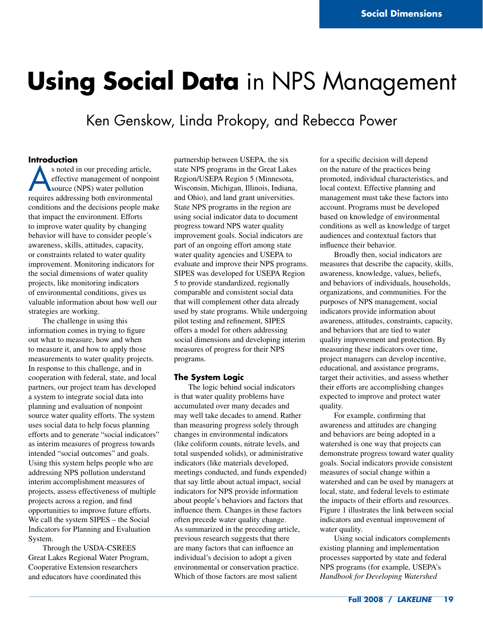# **Using Social Data** in NPS Management

# Ken Genskow, Linda Prokopy, and Rebecca Power

# **Introduction**

s noted in our preceding article, effective management of nonpoint source (NPS) water pollution requires addressing both environmental conditions and the decisions people make that impact the environment. Efforts to improve water quality by changing behavior will have to consider people's awareness, skills, attitudes, capacity, or constraints related to water quality improvement. Monitoring indicators for the social dimensions of water quality projects, like monitoring indicators of environmental conditions, gives us valuable information about how well our strategies are working.

The challenge in using this information comes in trying to figure out what to measure, how and when to measure it, and how to apply those measurements to water quality projects. In response to this challenge, and in cooperation with federal, state, and local partners, our project team has developed a system to integrate social data into planning and evaluation of nonpoint source water quality efforts. The system uses social data to help focus planning efforts and to generate "social indicators" as interim measures of progress towards intended "social outcomes" and goals. Using this system helps people who are addressing NPS pollution understand interim accomplishment measures of projects, assess effectiveness of multiple projects across a region, and find opportunities to improve future efforts. We call the system SIPES – the Social Indicators for Planning and Evaluation System.

Through the USDA-CSREES Great Lakes Regional Water Program, Cooperative Extension researchers and educators have coordinated this

partnership between USEPA, the six state NPS programs in the Great Lakes Region/USEPA Region 5 (Minnesota, Wisconsin, Michigan, Illinois, Indiana, and Ohio), and land grant universities. State NPS programs in the region are using social indicator data to document progress toward NPS water quality improvement goals. Social indicators are part of an ongoing effort among state water quality agencies and USEPA to evaluate and improve their NPS programs. SIPES was developed for USEPA Region 5 to provide standardized, regionally comparable and consistent social data that will complement other data already used by state programs. While undergoing pilot testing and refinement, SIPES offers a model for others addressing social dimensions and developing interim measures of progress for their NPS programs.

#### **The System Logic**

The logic behind social indicators is that water quality problems have accumulated over many decades and may well take decades to amend. Rather than measuring progress solely through changes in environmental indicators (like coliform counts, nitrate levels, and total suspended solids), or administrative indicators (like materials developed, meetings conducted, and funds expended) that say little about actual impact, social indicators for NPS provide information about people's behaviors and factors that influence them. Changes in these factors often precede water quality change. As summarized in the preceding article, previous research suggests that there are many factors that can influence an individual's decision to adopt a given environmental or conservation practice. Which of those factors are most salient

for a specific decision will depend on the nature of the practices being promoted, individual characteristics, and local context. Effective planning and management must take these factors into account. Programs must be developed based on knowledge of environmental conditions as well as knowledge of target audiences and contextual factors that influence their behavior.

Broadly then, social indicators are measures that describe the capacity, skills, awareness, knowledge, values, beliefs, and behaviors of individuals, households, organizations, and communities*.* For the purposes of NPS management, social indicators provide information about awareness, attitudes, constraints, capacity, and behaviors that are tied to water quality improvement and protection. By measuring these indicators over time, project managers can develop incentive, educational, and assistance programs, target their activities, and assess whether their efforts are accomplishing changes expected to improve and protect water quality.

For example, confirming that awareness and attitudes are changing and behaviors are being adopted in a watershed is one way that projects can demonstrate progress toward water quality goals. Social indicators provide consistent measures of social change within a watershed and can be used by managers at local, state, and federal levels to estimate the impacts of their efforts and resources. Figure 1 illustrates the link between social indicators and eventual improvement of water quality.

Using social indicators complements existing planning and implementation processes supported by state and federal NPS programs (for example, USEPA's *Handbook for Developing Watershed*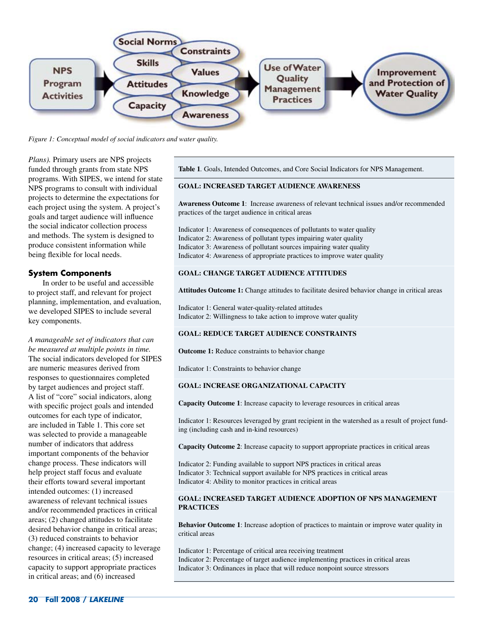

*Figure 1: Conceptual model of social indicators and water quality.*

*Plans).* Primary users are NPS projects funded through grants from state NPS programs. With SIPES, we intend for state NPS programs to consult with individual projects to determine the expectations for each project using the system. A project's goals and target audience will influence the social indicator collection process and methods. The system is designed to produce consistent information while being flexible for local needs.

### **System Components**

In order to be useful and accessible to project staff, and relevant for project planning, implementation, and evaluation, we developed SIPES to include several key components.

*A manageable set of indicators that can be measured at multiple points in time.*  The social indicators developed for SIPES are numeric measures derived from responses to questionnaires completed by target audiences and project staff. A list of "core" social indicators, along with specific project goals and intended outcomes for each type of indicator, are included in Table 1. This core set was selected to provide a manageable number of indicators that address important components of the behavior change process. These indicators will help project staff focus and evaluate their efforts toward several important intended outcomes: (1) increased awareness of relevant technical issues and/or recommended practices in critical areas; (2) changed attitudes to facilitate desired behavior change in critical areas; (3) reduced constraints to behavior change; (4) increased capacity to leverage resources in critical areas; (5) increased capacity to support appropriate practices in critical areas; and (6) increased

**Table 1***.* Goals, Intended Outcomes, and Core Social Indicators for NPS Management.

#### **GOAL: INCREASED TARGET AUDIENCE AWARENESS**

**Awareness Outcome 1**: Increase awareness of relevant technical issues and/or recommended practices of the target audience in critical areas

Indicator 1: Awareness of consequences of pollutants to water quality Indicator 2: Awareness of pollutant types impairing water quality Indicator 3: Awareness of pollutant sources impairing water quality Indicator 4: Awareness of appropriate practices to improve water quality

#### **GOAL: CHANGE TARGET AUDIENCE ATTITUDES**

**Attitudes Outcome 1:** Change attitudes to facilitate desired behavior change in critical areas

Indicator 1: General water-quality-related attitudes Indicator 2: Willingness to take action to improve water quality

#### **GOAL: REDUCE TARGET AUDIENCE CONSTRAINTS**

**Outcome 1:** Reduce constraints to behavior change

Indicator 1: Constraints to behavior change

#### **GOAL: INCREASE ORGANIZATIONAL CAPACITY**

**Capacity Outcome 1**: Increase capacity to leverage resources in critical areas

Indicator 1: Resources leveraged by grant recipient in the watershed as a result of project funding (including cash and in-kind resources)

**Capacity Outcome 2**: Increase capacity to support appropriate practices in critical areas

Indicator 2: Funding available to support NPS practices in critical areas Indicator 3: Technical support available for NPS practices in critical areas Indicator 4: Ability to monitor practices in critical areas

#### **GOAL: INCREASED TARGET AUDIENCE ADOPTION OF NPS MANAGEMENT PRACTICES**

**Behavior Outcome 1**: Increase adoption of practices to maintain or improve water quality in critical areas

Indicator 1: Percentage of critical area receiving treatment Indicator 2: Percentage of target audience implementing practices in critical areas Indicator 3: Ordinances in place that will reduce nonpoint source stressors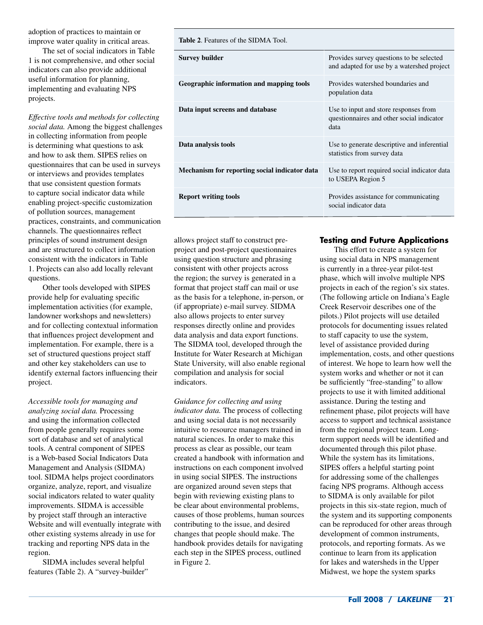adoption of practices to maintain or improve water quality in critical areas.

The set of social indicators in Table 1 is not comprehensive, and other social indicators can also provide additional useful information for planning, implementing and evaluating NPS projects.

*Effective tools and methods for collecting social data.* Among the biggest challenges in collecting information from people is determining what questions to ask and how to ask them. SIPES relies on questionnaires that can be used in surveys or interviews and provides templates that use consistent question formats to capture social indicator data while enabling project-specific customization of pollution sources, management practices, constraints, and communication channels. The questionnaires reflect principles of sound instrument design and are structured to collect information consistent with the indicators in Table 1. Projects can also add locally relevant questions.

Other tools developed with SIPES provide help for evaluating specific implementation activities (for example, landowner workshops and newsletters) and for collecting contextual information that influences project development and implementation. For example, there is a set of structured questions project staff and other key stakeholders can use to identify external factors influencing their project.

*Accessible tools for managing and analyzing social data.* Processing and using the information collected from people generally requires some sort of database and set of analytical tools. A central component of SIPES is a Web-based Social Indicators Data Management and Analysis (SIDMA) tool. SIDMA helps project coordinators organize, analyze, report, and visualize social indicators related to water quality improvements. SIDMA is accessible by project staff through an interactive Website and will eventually integrate with other existing systems already in use for tracking and reporting NPS data in the region.

SIDMA includes several helpful features (Table 2). A "survey-builder" **Table 2**. Features of the SIDMA Tool.

| <b>Survey builder</b>                         | Provides survey questions to be selected<br>and adapted for use by a watershed project     |
|-----------------------------------------------|--------------------------------------------------------------------------------------------|
| Geographic information and mapping tools      | Provides watershed boundaries and<br>population data                                       |
| Data input screens and database               | Use to input and store responses from<br>questionnaires and other social indicator<br>data |
| Data analysis tools                           | Use to generate descriptive and inferential<br>statistics from survey data                 |
| Mechanism for reporting social indicator data | Use to report required social indicator data<br>to USEPA Region 5                          |
| <b>Report writing tools</b>                   | Provides assistance for communicating<br>social indicator data                             |

allows project staff to construct preproject and post-project questionnaires using question structure and phrasing consistent with other projects across the region; the survey is generated in a format that project staff can mail or use as the basis for a telephone, in-person, or (if appropriate) e-mail survey. SIDMA also allows projects to enter survey responses directly online and provides data analysis and data export functions. The SIDMA tool, developed through the Institute for Water Research at Michigan State University, will also enable regional compilation and analysis for social indicators.

*Guidance for collecting and using indicator data.* The process of collecting and using social data is not necessarily intuitive to resource managers trained in natural sciences. In order to make this process as clear as possible, our team created a handbook with information and instructions on each component involved in using social SIPES. The instructions are organized around seven steps that begin with reviewing existing plans to be clear about environmental problems, causes of those problems, human sources contributing to the issue, and desired changes that people should make. The handbook provides details for navigating each step in the SIPES process, outlined in Figure 2.

# **Testing and Future Applications**

This effort to create a system for using social data in NPS management is currently in a three-year pilot-test phase, which will involve multiple NPS projects in each of the region's six states. (The following article on Indiana's Eagle Creek Reservoir describes one of the pilots.) Pilot projects will use detailed protocols for documenting issues related to staff capacity to use the system, level of assistance provided during implementation, costs, and other questions of interest. We hope to learn how well the system works and whether or not it can be sufficiently "free-standing" to allow projects to use it with limited additional assistance. During the testing and refinement phase, pilot projects will have access to support and technical assistance from the regional project team. Longterm support needs will be identified and documented through this pilot phase. While the system has its limitations, SIPES offers a helpful starting point for addressing some of the challenges facing NPS programs. Although access to SIDMA is only available for pilot projects in this six-state region, much of the system and its supporting components can be reproduced for other areas through development of common instruments, protocols, and reporting formats. As we continue to learn from its application for lakes and watersheds in the Upper Midwest, we hope the system sparks